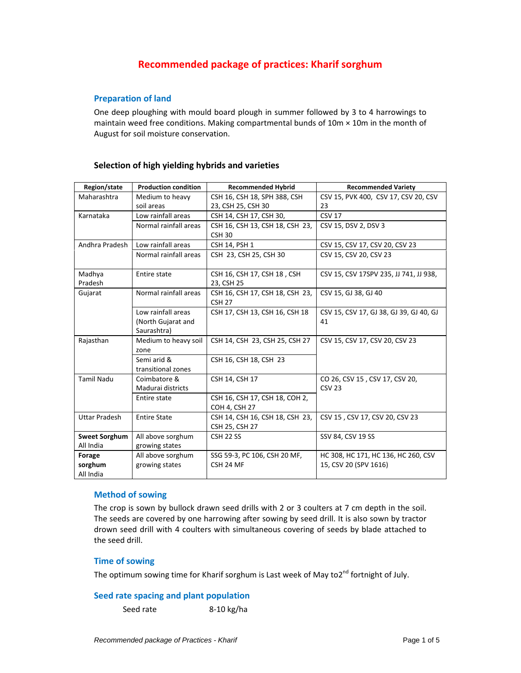# **Recommended package of practices: Kharif sorghum**

# **Preparation of land**

One deep ploughing with mould board plough in summer followed by 3 to 4 harrowings to maintain weed free conditions. Making compartmental bunds of  $10m \times 10m$  in the month of August for soil moisture conservation.

# **Selection of high yielding hybrids and varieties**

| Region/state         | <b>Production condition</b> | <b>Recommended Hybrid</b>       | <b>Recommended Variety</b>              |
|----------------------|-----------------------------|---------------------------------|-----------------------------------------|
| Maharashtra          | Medium to heavy             | CSH 16, CSH 18, SPH 388, CSH    | CSV 15, PVK 400, CSV 17, CSV 20, CSV    |
|                      | soil areas                  | 23, CSH 25, CSH 30              | 23                                      |
| Karnataka            | Low rainfall areas          | CSH 14, CSH 17, CSH 30,         | <b>CSV 17</b>                           |
|                      | Normal rainfall areas       | CSH 16, CSH 13, CSH 18, CSH 23, | CSV 15, DSV 2, DSV 3                    |
|                      |                             | CSH <sub>30</sub>               |                                         |
| Andhra Pradesh       | Low rainfall areas          | CSH 14, PSH 1                   | CSV 15, CSV 17, CSV 20, CSV 23          |
|                      | Normal rainfall areas       | CSH 23, CSH 25, CSH 30          | CSV 15, CSV 20, CSV 23                  |
| Madhya               | Entire state                | CSH 16, CSH 17, CSH 18, CSH     | CSV 15, CSV 17SPV 235, JJ 741, JJ 938,  |
| Pradesh              |                             | 23, CSH 25                      |                                         |
| Gujarat              | Normal rainfall areas       | CSH 16, CSH 17, CSH 18, CSH 23, | CSV 15, GJ 38, GJ 40                    |
|                      |                             | <b>CSH 27</b>                   |                                         |
|                      | Low rainfall areas          | CSH 17, CSH 13, CSH 16, CSH 18  | CSV 15, CSV 17, GJ 38, GJ 39, GJ 40, GJ |
|                      | (North Gujarat and          |                                 | 41                                      |
|                      | Saurashtra)                 |                                 |                                         |
| Rajasthan            | Medium to heavy soil        | CSH 14, CSH 23, CSH 25, CSH 27  | CSV 15, CSV 17, CSV 20, CSV 23          |
|                      | zone                        |                                 |                                         |
|                      | Semi arid &                 | CSH 16, CSH 18, CSH 23          |                                         |
|                      | transitional zones          |                                 |                                         |
| <b>Tamil Nadu</b>    | Coimbatore &                | CSH 14, CSH 17                  | CO 26, CSV 15, CSV 17, CSV 20,          |
|                      | Madurai districts           |                                 | <b>CSV 23</b>                           |
|                      | Entire state                | CSH 16, CSH 17, CSH 18, COH 2,  |                                         |
|                      |                             | <b>COH 4, CSH 27</b>            |                                         |
| <b>Uttar Pradesh</b> | <b>Entire State</b>         | CSH 14, CSH 16, CSH 18, CSH 23, | CSV 15, CSV 17, CSV 20, CSV 23          |
|                      |                             | CSH 25, CSH 27                  |                                         |
| <b>Sweet Sorghum</b> | All above sorghum           | CSH <sub>22</sub> SS            | SSV 84, CSV 19 SS                       |
| All India            | growing states              |                                 |                                         |
| Forage               | All above sorghum           | SSG 59-3, PC 106, CSH 20 MF,    | HC 308, HC 171, HC 136, HC 260, CSV     |
| sorghum              | growing states              | CSH 24 MF                       | 15, CSV 20 (SPV 1616)                   |
| All India            |                             |                                 |                                         |

# **Method of sowing**

The crop is sown by bullock drawn seed drills with 2 or 3 coulters at 7 cm depth in the soil. The seeds are covered by one harrowing after sowing by seed drill. It is also sown by tractor drown seed drill with 4 coulters with simultaneous covering of seeds by blade attached to the seed drill.

# **Time of sowing**

The optimum sowing time for Kharif sorghum is Last week of May to2<sup>nd</sup> fortnight of July.

# **Seed rate spacing and plant population**

Seed rate 8‐10 kg/ha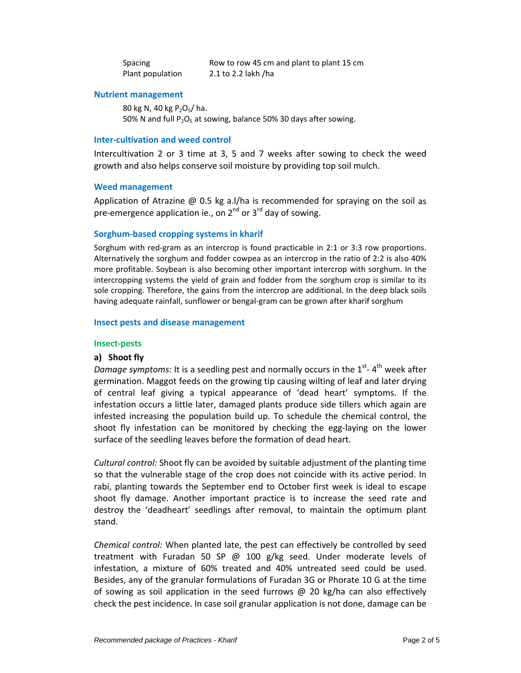| Spacing          | Row to row 45 cm and plant to plant 15 cm |
|------------------|-------------------------------------------|
| Plant population | 2.1 to 2.2 lakh /ha                       |

# **Nutrient management**

80 kg N, 40 kg  $P_2O_5/ha$ . 50% N and full  $P_2O_5$  at sowing, balance 50% 30 days after sowing.

#### **Inter‐cultivation and weed control**

Intercultivation 2 or 3 time at 3, 5 and 7 weeks after sowing to check the weed growth and also helps conserve soil moisture by providing top soil mulch.

#### **Weed management**

Application of Atrazine @ 0.5 kg a.l/ha is recommended for spraying on the soil as pre-emergence application ie., on  $2^{nd}$  or  $3^{rd}$  day of sowing.

# **Sorghum‐based cropping systems in kharif**

Sorghum with red‐gram as an intercrop is found practicable in 2:1 or 3:3 row proportions. Alternatively the sorghum and fodder cowpea as an intercrop in the ratio of 2:2 is also 40% more profitable. Soybean is also becoming other important intercrop with sorghum. In the intercropping systems the yield of grain and fodder from the sorghum crop is similar to its sole cropping. Therefore, the gains from the intercrop are additional. In the deep black soils having adequate rainfall, sunflower or bengal‐gram can be grown after kharif sorghum

#### **Insect pests and disease management**

#### **Insect‐pests**

# **a) Shoot fly**

*Damage symptoms:* It is a seedling pest and normally occurs in the 1<sup>st</sup>-4<sup>th</sup> week after germination. Maggot feeds on the growing tip causing wilting of leaf and later drying of central leaf giving a typical appearance of 'dead heart' symptoms. If the infestation occurs a little later, damaged plants produce side tillers which again are infested increasing the population build up. To schedule the chemical control, the shoot fly infestation can be monitored by checking the egg‐laying on the lower surface of the seedling leaves before the formation of dead heart.

*Cultural control:* Shoot fly can be avoided by suitable adjustment of the planting time so that the vulnerable stage of the crop does not coincide with its active period. In rabi, planting towards the September end to October first week is ideal to escape shoot fly damage. Another important practice is to increase the seed rate and destroy the 'deadheart' seedlings after removal, to maintain the optimum plant stand.

*Chemical control:* When planted late, the pest can effectively be controlled by seed treatment with Furadan 50 SP  $\omega$  100 g/kg seed. Under moderate levels of infestation, a mixture of 60% treated and 40% untreated seed could be used. Besides, any of the granular formulations of Furadan 3G or Phorate 10 G at the time of sowing as soil application in the seed furrows  $\omega$  20 kg/ha can also effectively check the pest incidence. In case soil granular application is not done, damage can be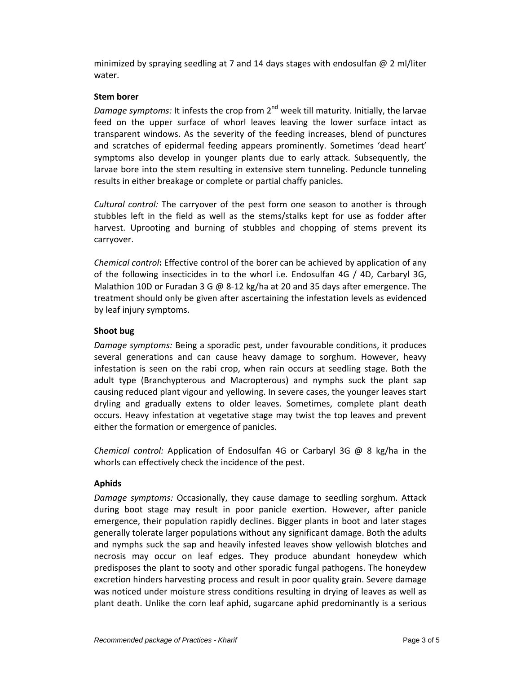minimized by spraying seedling at 7 and 14 days stages with endosulfan  $@$  2 ml/liter water.

# **Stem borer**

*Damage symptoms:* It infests the crop from 2<sup>nd</sup> week till maturity. Initially, the larvae feed on the upper surface of whorl leaves leaving the lower surface intact as transparent windows. As the severity of the feeding increases, blend of punctures and scratches of epidermal feeding appears prominently. Sometimes 'dead heart' symptoms also develop in younger plants due to early attack. Subsequently, the larvae bore into the stem resulting in extensive stem tunneling. Peduncle tunneling results in either breakage or complete or partial chaffy panicles.

*Cultural control:* The carryover of the pest form one season to another is through stubbles left in the field as well as the stems/stalks kept for use as fodder after harvest. Uprooting and burning of stubbles and chopping of stems prevent its carryover.

*Chemical control***:** Effective control of the borer can be achieved by application of any of the following insecticides in to the whorl i.e. Endosulfan 4G / 4D, Carbaryl 3G, Malathion 10D or Furadan 3 G @ 8-12 kg/ha at 20 and 35 days after emergence. The treatment should only be given after ascertaining the infestation levels as evidenced by leaf injury symptoms.

# **Shoot bug**

*Damage symptoms:* Being a sporadic pest, under favourable conditions, it produces several generations and can cause heavy damage to sorghum. However, heavy infestation is seen on the rabi crop, when rain occurs at seedling stage. Both the adult type (Branchypterous and Macropterous) and nymphs suck the plant sap causing reduced plant vigour and yellowing. In severe cases, the younger leaves start dryling and gradually extens to older leaves. Sometimes, complete plant death occurs. Heavy infestation at vegetative stage may twist the top leaves and prevent either the formation or emergence of panicles.

*Chemical control:* Application of Endosulfan 4G or Carbaryl 3G @ 8 kg/ha in the whorls can effectively check the incidence of the pest.

# **Aphids**

*Damage symptoms:* Occasionally, they cause damage to seedling sorghum. Attack during boot stage may result in poor panicle exertion. However, after panicle emergence, their population rapidly declines. Bigger plants in boot and later stages generally tolerate larger populations without any significant damage. Both the adults and nymphs suck the sap and heavily infested leaves show yellowish blotches and necrosis may occur on leaf edges. They produce abundant honeydew which predisposes the plant to sooty and other sporadic fungal pathogens. The honeydew excretion hinders harvesting process and result in poor quality grain. Severe damage was noticed under moisture stress conditions resulting in drying of leaves as well as plant death. Unlike the corn leaf aphid, sugarcane aphid predominantly is a serious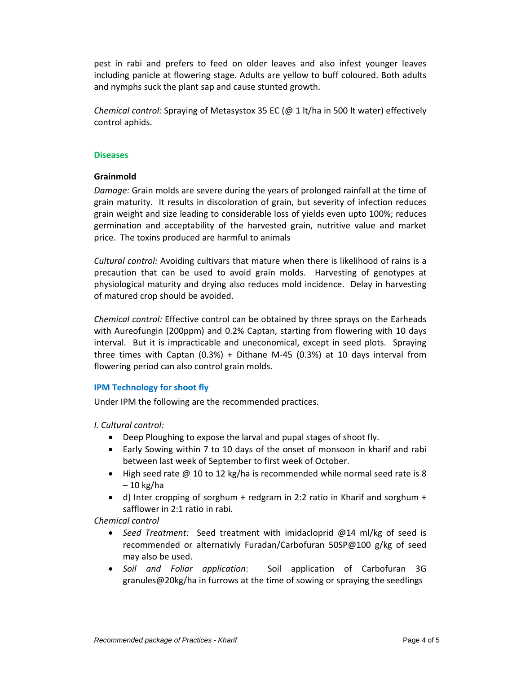pest in rabi and prefers to feed on older leaves and also infest younger leaves including panicle at flowering stage. Adults are yellow to buff coloured. Both adults and nymphs suck the plant sap and cause stunted growth.

*Chemical control:* Spraying of Metasystox 35 EC (@ 1 lt/ha in 500 lt water) effectively control aphids.

#### **Diseases**

# **Grainmold**

*Damage:* Grain molds are severe during the years of prolonged rainfall at the time of grain maturity. It results in discoloration of grain, but severity of infection reduces grain weight and size leading to considerable loss of yields even upto 100%; reduces germination and acceptability of the harvested grain, nutritive value and market price. The toxins produced are harmful to animals

*Cultural control:* Avoiding cultivars that mature when there is likelihood of rains is a precaution that can be used to avoid grain molds. Harvesting of genotypes at physiological maturity and drying also reduces mold incidence. Delay in harvesting of matured crop should be avoided.

*Chemical control:* Effective control can be obtained by three sprays on the Earheads with Aureofungin (200ppm) and 0.2% Captan, starting from flowering with 10 days interval. But it is impracticable and uneconomical, except in seed plots. Spraying three times with Captan  $(0.3%)$  + Dithane M-45  $(0.3%)$  at 10 days interval from flowering period can also control grain molds.

# **IPM Technology for shoot fly**

Under IPM the following are the recommended practices.

*I. Cultural control:* 

- Deep Ploughing to expose the larval and pupal stages of shoot fly.
- Early Sowing within 7 to 10 days of the onset of monsoon in kharif and rabi between last week of September to first week of October.
- High seed rate  $\omega$  10 to 12 kg/ha is recommended while normal seed rate is 8 – 10 kg/ha
- d) Inter cropping of sorghum + redgram in 2:2 ratio in Kharif and sorghum  $+$ safflower in 2:1 ratio in rabi.

*Chemical control*

- *Seed Treatment:* Seed treatment with imidacloprid @14 ml/kg of seed is recommended or alternativly Furadan/Carbofuran 50SP@100 g/kg of seed may also be used.
- *Soil and Foliar application*: Soil application of Carbofuran 3G granules@20kg/ha in furrows at the time of sowing or spraying the seedlings